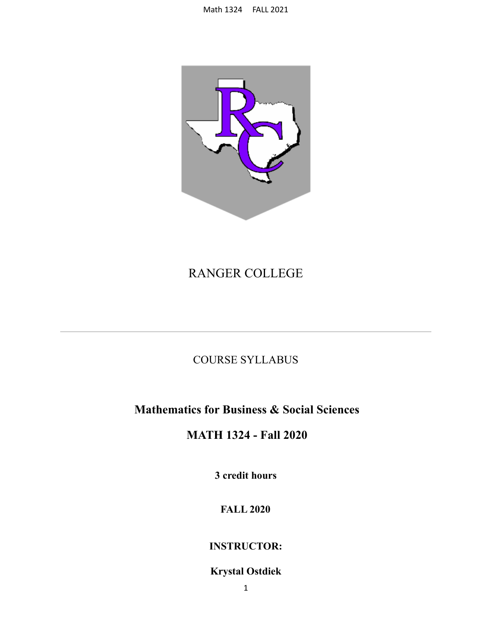

# RANGER COLLEGE

## COURSE SYLLABUS

## **Mathematics for Business & Social Sciences**

## **MATH 1324 - Fall 2020**

**3 credit hours**

## **FALL 2020**

## **INSTRUCTOR:**

## **Krystal Ostdiek**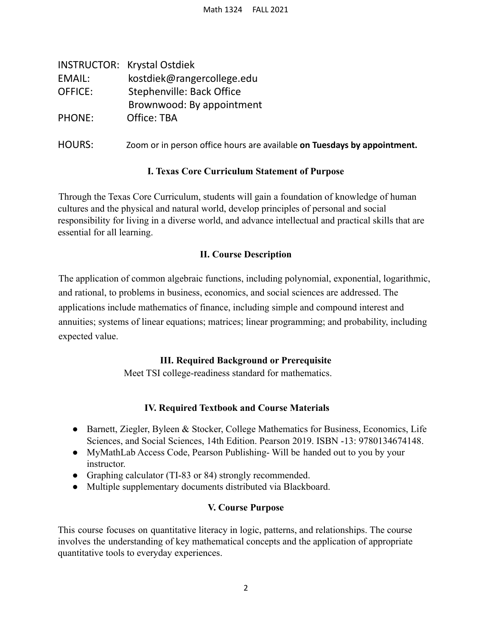|                | <b>INSTRUCTOR: Krystal Ostdiek</b>                                       |
|----------------|--------------------------------------------------------------------------|
| EMAIL:         | kostdiek@rangercollege.edu                                               |
| <b>OFFICE:</b> | Stephenville: Back Office                                                |
|                | Brownwood: By appointment                                                |
| <b>PHONE:</b>  | Office: TBA                                                              |
| <b>HOURS:</b>  | Zoom or in person office hours are available on Tuesdays by appointment. |

### **I. Texas Core Curriculum Statement of Purpose**

Through the Texas Core Curriculum, students will gain a foundation of knowledge of human cultures and the physical and natural world, develop principles of personal and social responsibility for living in a diverse world, and advance intellectual and practical skills that are essential for all learning.

### **II. Course Description**

The application of common algebraic functions, including polynomial, exponential, logarithmic, and rational, to problems in business, economics, and social sciences are addressed. The applications include mathematics of finance, including simple and compound interest and annuities; systems of linear equations; matrices; linear programming; and probability, including expected value.

## **III. Required Background or Prerequisite**

Meet TSI college-readiness standard for mathematics.

## **IV. Required Textbook and Course Materials**

- Barnett, Ziegler, Byleen & Stocker, College Mathematics for Business, Economics, Life Sciences, and Social Sciences, 14th Edition. Pearson 2019. ISBN -13: 9780134674148.
- MyMathLab Access Code, Pearson Publishing- Will be handed out to you by your instructor.
- Graphing calculator (TI-83 or 84) strongly recommended.
- Multiple supplementary documents distributed via Blackboard.

### **V. Course Purpose**

This course focuses on quantitative literacy in logic, patterns, and relationships. The course involves the understanding of key mathematical concepts and the application of appropriate quantitative tools to everyday experiences.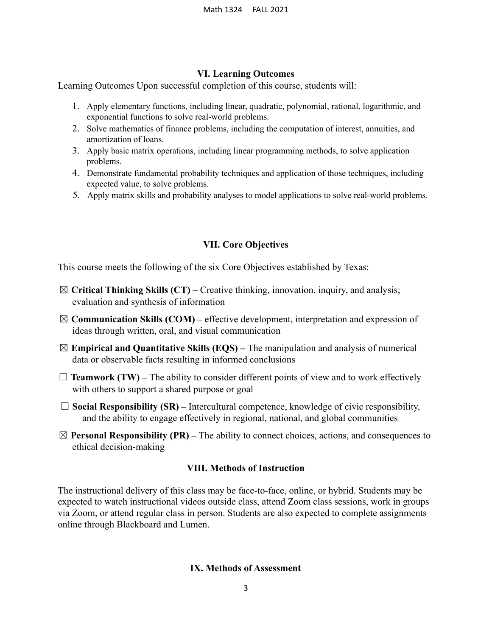#### **VI. Learning Outcomes**

Learning Outcomes Upon successful completion of this course, students will:

- 1. Apply elementary functions, including linear, quadratic, polynomial, rational, logarithmic, and exponential functions to solve real-world problems.
- 2. Solve mathematics of finance problems, including the computation of interest, annuities, and amortization of loans.
- 3. Apply basic matrix operations, including linear programming methods, to solve application problems.
- 4. Demonstrate fundamental probability techniques and application of those techniques, including expected value, to solve problems.
- 5. Apply matrix skills and probability analyses to model applications to solve real-world problems.

#### **VII. Core Objectives**

This course meets the following of the six Core Objectives established by Texas:

- ☒ **Critical Thinking Skills (CT) –** Creative thinking, innovation, inquiry, and analysis; evaluation and synthesis of information
- ☒ **Communication Skills (COM) –** effective development, interpretation and expression of ideas through written, oral, and visual communication
- ☒ **Empirical and Quantitative Skills (EQS) –** The manipulation and analysis of numerical data or observable facts resulting in informed conclusions
- $\Box$  **Teamwork (TW)** The ability to consider different points of view and to work effectively with others to support a shared purpose or goal
- $\Box$  **Social Responsibility (SR)** Intercultural competence, knowledge of civic responsibility, and the ability to engage effectively in regional, national, and global communities
- $\boxtimes$  **Personal Responsibility (PR)** The ability to connect choices, actions, and consequences to ethical decision-making

#### **VIII. Methods of Instruction**

The instructional delivery of this class may be face-to-face, online, or hybrid. Students may be expected to watch instructional videos outside class, attend Zoom class sessions, work in groups via Zoom, or attend regular class in person. Students are also expected to complete assignments online through Blackboard and Lumen.

#### **IX. Methods of Assessment**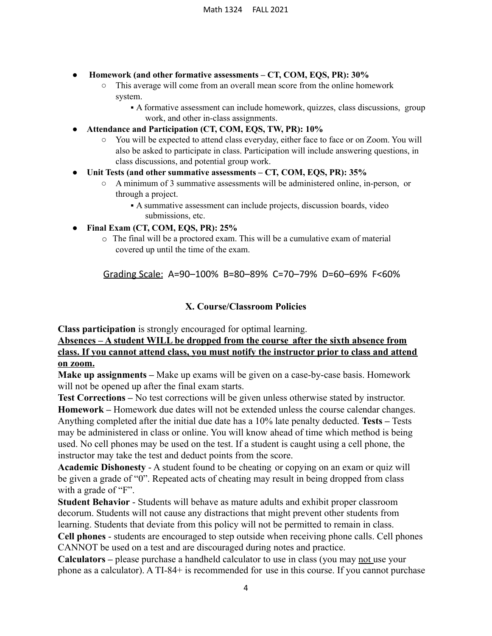- **Homework (and other formative assessments – CT, COM, EQS, PR): 30%**
	- This average will come from an overall mean score from the online homework system.
		- A formative assessment can include homework, quizzes, class discussions, group work, and other in-class assignments.
- **● Attendance and Participation (CT, COM, EQS, TW, PR): 10%**
	- You will be expected to attend class everyday, either face to face or on Zoom. You will also be asked to participate in class. Participation will include answering questions, in class discussions, and potential group work.
- **● Unit Tests (and other summative assessments – CT, COM, EQS, PR): 35%**
	- A minimum of 3 summative assessments will be administered online, in-person, or through a project.
		- A summative assessment can include projects, discussion boards, video submissions, etc.
- **● Final Exam (CT, COM, EQS, PR): 25%**
	- o The final will be a proctored exam. This will be a cumulative exam of material covered up until the time of the exam.

Grading Scale: A=90–100% B=80–89% C=70–79% D=60–69% F<60%

### **X. Course/Classroom Policies**

**Class participation** is strongly encouraged for optimal learning.

**Absences – A student WILL be dropped from the course after the sixth absence from class. If you cannot attend class, you must notify the instructor prior to class and attend on zoom.**

**Make up assignments –** Make up exams will be given on a case-by-case basis. Homework will not be opened up after the final exam starts.

**Test Corrections –** No test corrections will be given unless otherwise stated by instructor. **Homework –** Homework due dates will not be extended unless the course calendar changes. Anything completed after the initial due date has a 10% late penalty deducted. **Tests –** Tests may be administered in class or online. You will know ahead of time which method is being used. No cell phones may be used on the test. If a student is caught using a cell phone, the instructor may take the test and deduct points from the score.

**Academic Dishonesty** - A student found to be cheating or copying on an exam or quiz will be given a grade of "0". Repeated acts of cheating may result in being dropped from class with a grade of "F".

**Student Behavior** - Students will behave as mature adults and exhibit proper classroom decorum. Students will not cause any distractions that might prevent other students from learning. Students that deviate from this policy will not be permitted to remain in class.

**Cell phones** - students are encouraged to step outside when receiving phone calls. Cell phones CANNOT be used on a test and are discouraged during notes and practice.

**Calculators –** please purchase a handheld calculator to use in class (you may not use your phone as a calculator). A TI-84+ is recommended for use in this course. If you cannot purchase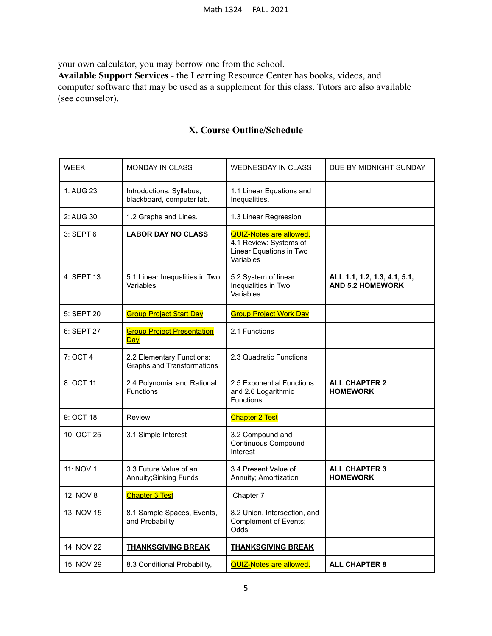your own calculator, you may borrow one from the school.

**Available Support Services** - the Learning Resource Center has books, videos, and computer software that may be used as a supplement for this class. Tutors are also available (see counselor).

| <b>WEEK</b> | <b>MONDAY IN CLASS</b>                                         | <b>WEDNESDAY IN CLASS</b>                                                                        | DUE BY MIDNIGHT SUNDAY                                  |
|-------------|----------------------------------------------------------------|--------------------------------------------------------------------------------------------------|---------------------------------------------------------|
| 1: AUG 23   | Introductions. Syllabus,<br>blackboard, computer lab.          | 1.1 Linear Equations and<br>Inequalities.                                                        |                                                         |
| 2: AUG 30   | 1.2 Graphs and Lines.                                          | 1.3 Linear Regression                                                                            |                                                         |
| 3: SEPT 6   | <b>LABOR DAY NO CLASS</b>                                      | <b>QUIZ-Notes are allowed.</b><br>4.1 Review: Systems of<br>Linear Equations in Two<br>Variables |                                                         |
| 4: SEPT 13  | 5.1 Linear Inequalities in Two<br>Variables                    | 5.2 System of linear<br>Inequalities in Two<br>Variables                                         | ALL 1.1, 1.2, 1.3, 4.1, 5.1,<br><b>AND 5.2 HOMEWORK</b> |
| 5: SEPT 20  | <b>Group Project Start Day</b>                                 | <b>Group Project Work Day</b>                                                                    |                                                         |
| 6: SEPT 27  | <b>Group Project Presentation</b><br>Day                       | 2.1 Functions                                                                                    |                                                         |
| 7: OCT 4    | 2.2 Elementary Functions:<br><b>Graphs and Transformations</b> | 2.3 Quadratic Functions                                                                          |                                                         |
| 8: OCT 11   | 2.4 Polynomial and Rational<br><b>Functions</b>                | 2.5 Exponential Functions<br>and 2.6 Logarithmic<br><b>Functions</b>                             | <b>ALL CHAPTER 2</b><br><b>HOMEWORK</b>                 |
| 9: OCT 18   | <b>Review</b>                                                  | <b>Chapter 2 Test</b>                                                                            |                                                         |
| 10: OCT 25  | 3.1 Simple Interest                                            | 3.2 Compound and<br><b>Continuous Compound</b><br>Interest                                       |                                                         |
| 11: NOV 1   | 3.3 Future Value of an<br><b>Annuity; Sinking Funds</b>        | 3.4 Present Value of<br>Annuity; Amortization                                                    | <b>ALL CHAPTER 3</b><br><b>HOMEWORK</b>                 |
| 12: NOV 8   | <b>Chapter 3 Test</b>                                          | Chapter 7                                                                                        |                                                         |
| 13: NOV 15  | 8.1 Sample Spaces, Events,<br>and Probability                  | 8.2 Union, Intersection, and<br>Complement of Events;<br>Odds                                    |                                                         |
| 14: NOV 22  | <b>THANKSGIVING BREAK</b>                                      | <b>THANKSGIVING BREAK</b>                                                                        |                                                         |
| 15: NOV 29  | 8.3 Conditional Probability,                                   | <b>QUIZ-Notes are allowed.</b>                                                                   | <b>ALL CHAPTER 8</b>                                    |

## **X. Course Outline/Schedule**